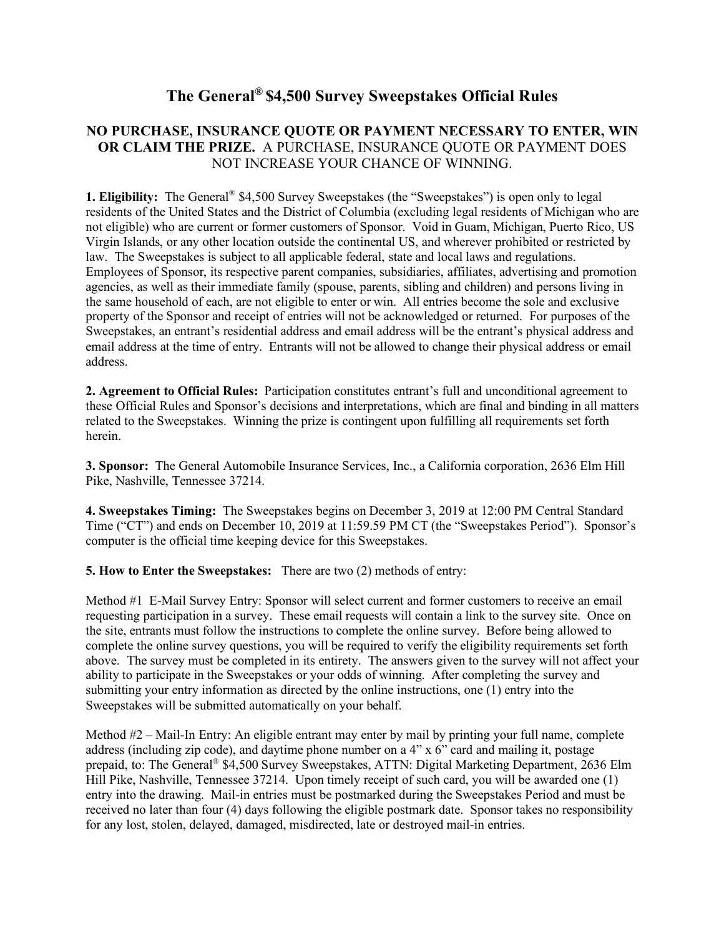## **The General® \$4,500 Survey Sweepstakes Official Rules**

## **NO PURCHASE, INSURANCE QUOTE OR PAYMENT NECESSARY TO ENTER, WIN OR CLAIM THE PRIZE.** A PURCHASE, INSURANCE QUOTE OR PAYMENT DOES NOT INCREASE YOUR CHANCE OF WINNING.

**1. Eligibility:** The General<sup>®</sup> \$4,500 Survey Sweepstakes (the "Sweepstakes") is open only to legal residents of the United States and the District of Columbia (excluding legal residents of Michigan who are not eligible) who are current or former customers of Sponsor. Void in Guam, Michigan, Puerto Rico, US Virgin Islands, or any other location outside the continental US, and wherever prohibited or restricted by law. The Sweepstakes is subject to all applicable federal, state and local laws and regulations. Employees of Sponsor, its respective parent companies, subsidiaries, affiliates, advertising and promotion agencies, as well as their immediate family (spouse, parents, sibling and children) and persons living in the same household of each, are not eligible to enter or win. All entries become the sole and exclusive property of the Sponsor and receipt of entries will not be acknowledged or returned. For purposes of the Sweepstakes, an entrant's residential address and email address will be the entrant's physical address and email address at the time of entry. Entrants will not be allowed to change their physical address or email address.

**2. Agreement to Official Rules:** Participation constitutes entrant's full and unconditional agreement to these Official Rules and Sponsor's decisions and interpretations, which are final and binding in all matters related to the Sweepstakes. Winning the prize is contingent upon fulfilling all requirements set forth herein.

**3. Sponsor:** The General Automobile Insurance Services, Inc., a California corporation, 2636 Elm Hill Pike, Nashville, Tennessee 37214.

**4. Sweepstakes Timing:** The Sweepstakes begins on December 3, 2019 at 12:00 PM Central Standard Time ("CT") and ends on December 10, 2019 at 11:59.59 PM CT (the "Sweepstakes Period"). Sponsor's computer is the official time keeping device for this Sweepstakes.

**5. How to Enter the Sweepstakes:** There are two (2) methods of entry:

Method #1 E-Mail Survey Entry: Sponsor will select current and former customers to receive an email requesting participation in a survey. These email requests will contain a link to the survey site. Once on the site, entrants must follow the instructions to complete the online survey. Before being allowed to complete the online survey questions, you will be required to verify the eligibility requirements set forth above. The survey must be completed in its entirety. The answers given to the survey will not affect your ability to participate in the Sweepstakes or your odds of winning. After completing the survey and submitting your entry information as directed by the online instructions, one (1) entry into the Sweepstakes will be submitted automatically on your behalf.

Method #2 – Mail-In Entry: An eligible entrant may enter by mail by printing your full name, complete address (including zip code), and daytime phone number on a  $4" \times 6"$  card and mailing it, postage prepaid, to: The General® \$4,500 Survey Sweepstakes, ATTN: Digital Marketing Department, 2636 Elm Hill Pike, Nashville, Tennessee 37214. Upon timely receipt of such card, you will be awarded one (1) entry into the drawing. Mail-in entries must be postmarked during the Sweepstakes Period and must be received no later than four (4) days following the eligible postmark date. Sponsor takes no responsibility for any lost, stolen, delayed, damaged, misdirected, late or destroyed mail-in entries.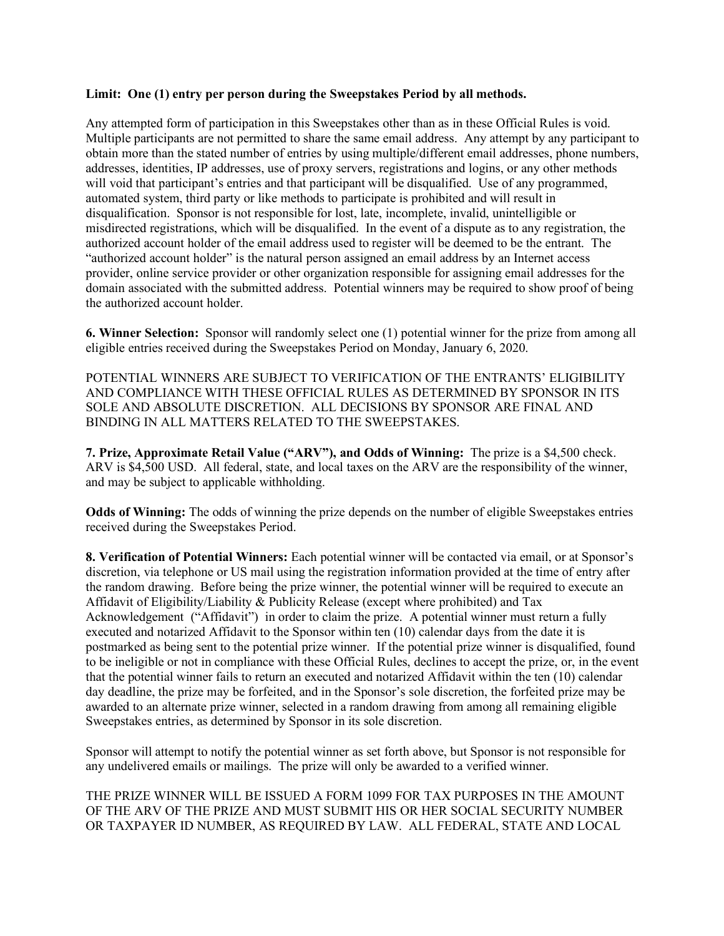## **Limit: One (1) entry per person during the Sweepstakes Period by all methods.**

Any attempted form of participation in this Sweepstakes other than as in these Official Rules is void. Multiple participants are not permitted to share the same email address. Any attempt by any participant to obtain more than the stated number of entries by using multiple/different email addresses, phone numbers, addresses, identities, IP addresses, use of proxy servers, registrations and logins, or any other methods will void that participant's entries and that participant will be disqualified. Use of any programmed, automated system, third party or like methods to participate is prohibited and will result in disqualification. Sponsor is not responsible for lost, late, incomplete, invalid, unintelligible or misdirected registrations, which will be disqualified. In the event of a dispute as to any registration, the authorized account holder of the email address used to register will be deemed to be the entrant. The "authorized account holder" is the natural person assigned an email address by an Internet access provider, online service provider or other organization responsible for assigning email addresses for the domain associated with the submitted address. Potential winners may be required to show proof of being the authorized account holder.

**6. Winner Selection:** Sponsor will randomly select one (1) potential winner for the prize from among all eligible entries received during the Sweepstakes Period on Monday, January 6, 2020.

POTENTIAL WINNERS ARE SUBJECT TO VERIFICATION OF THE ENTRANTS' ELIGIBILITY AND COMPLIANCE WITH THESE OFFICIAL RULES AS DETERMINED BY SPONSOR IN ITS SOLE AND ABSOLUTE DISCRETION. ALL DECISIONS BY SPONSOR ARE FINAL AND BINDING IN ALL MATTERS RELATED TO THE SWEEPSTAKES.

**7. Prize, Approximate Retail Value ("ARV"), and Odds of Winning:** The prize is a \$4,500 check. ARV is \$4,500 USD. All federal, state, and local taxes on the ARV are the responsibility of the winner, and may be subject to applicable withholding.

**Odds of Winning:** The odds of winning the prize depends on the number of eligible Sweepstakes entries received during the Sweepstakes Period.

**8. Verification of Potential Winners:** Each potential winner will be contacted via email, or at Sponsor's discretion, via telephone or US mail using the registration information provided at the time of entry after the random drawing. Before being the prize winner, the potential winner will be required to execute an Affidavit of Eligibility/Liability & Publicity Release (except where prohibited) and Tax Acknowledgement ("Affidavit") in order to claim the prize. A potential winner must return a fully executed and notarized Affidavit to the Sponsor within ten (10) calendar days from the date it is postmarked as being sent to the potential prize winner. If the potential prize winner is disqualified, found to be ineligible or not in compliance with these Official Rules, declines to accept the prize, or, in the event that the potential winner fails to return an executed and notarized Affidavit within the ten (10) calendar day deadline, the prize may be forfeited, and in the Sponsor's sole discretion, the forfeited prize may be awarded to an alternate prize winner, selected in a random drawing from among all remaining eligible Sweepstakes entries, as determined by Sponsor in its sole discretion.

Sponsor will attempt to notify the potential winner as set forth above, but Sponsor is not responsible for any undelivered emails or mailings. The prize will only be awarded to a verified winner.

THE PRIZE WINNER WILL BE ISSUED A FORM 1099 FOR TAX PURPOSES IN THE AMOUNT OF THE ARV OF THE PRIZE AND MUST SUBMIT HIS OR HER SOCIAL SECURITY NUMBER OR TAXPAYER ID NUMBER, AS REQUIRED BY LAW. ALL FEDERAL, STATE AND LOCAL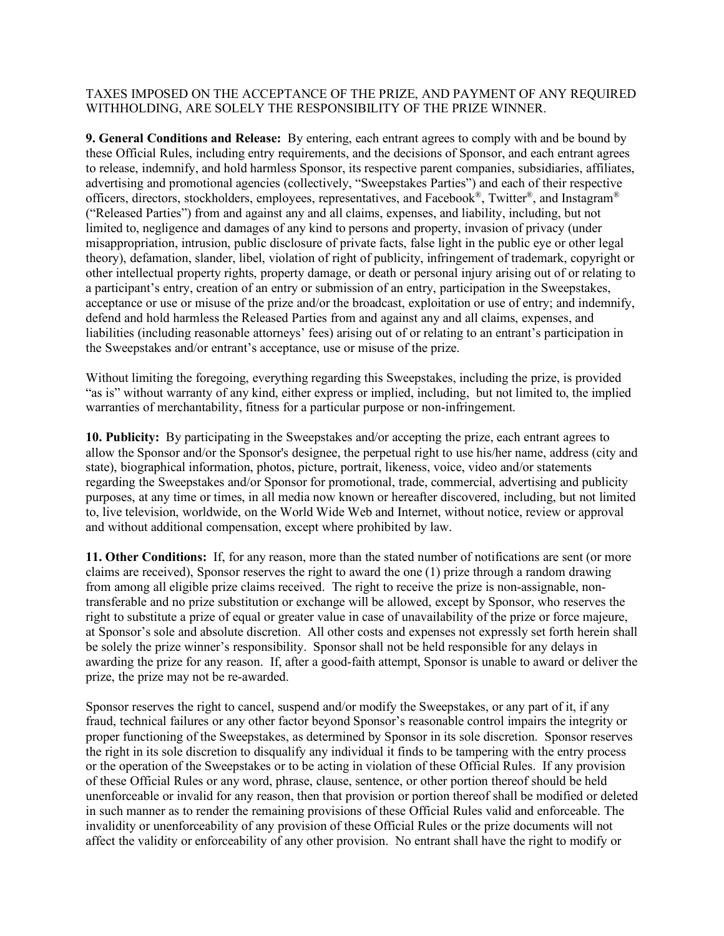## TAXES IMPOSED ON THE ACCEPTANCE OF THE PRIZE, AND PAYMENT OF ANY REQUIRED WITHHOLDING, ARE SOLELY THE RESPONSIBILITY OF THE PRIZE WINNER.

**9. General Conditions and Release:** By entering, each entrant agrees to comply with and be bound by these Official Rules, including entry requirements, and the decisions of Sponsor, and each entrant agrees to release, indemnify, and hold harmless Sponsor, its respective parent companies, subsidiaries, affiliates, advertising and promotional agencies (collectively, "Sweepstakes Parties") and each of their respective officers, directors, stockholders, employees, representatives, and Facebook®, Twitter®, and Instagram® ("Released Parties") from and against any and all claims, expenses, and liability, including, but not limited to, negligence and damages of any kind to persons and property, invasion of privacy (under misappropriation, intrusion, public disclosure of private facts, false light in the public eye or other legal theory), defamation, slander, libel, violation of right of publicity, infringement of trademark, copyright or other intellectual property rights, property damage, or death or personal injury arising out of or relating to a participant's entry, creation of an entry or submission of an entry, participation in the Sweepstakes, acceptance or use or misuse of the prize and/or the broadcast, exploitation or use of entry; and indemnify, defend and hold harmless the Released Parties from and against any and all claims, expenses, and liabilities (including reasonable attorneys' fees) arising out of or relating to an entrant's participation in the Sweepstakes and/or entrant's acceptance, use or misuse of the prize.

Without limiting the foregoing, everything regarding this Sweepstakes, including the prize, is provided "as is" without warranty of any kind, either express or implied, including, but not limited to, the implied warranties of merchantability, fitness for a particular purpose or non-infringement.

**10. Publicity:** By participating in the Sweepstakes and/or accepting the prize, each entrant agrees to allow the Sponsor and/or the Sponsor's designee, the perpetual right to use his/her name, address (city and state), biographical information, photos, picture, portrait, likeness, voice, video and/or statements regarding the Sweepstakes and/or Sponsor for promotional, trade, commercial, advertising and publicity purposes, at any time or times, in all media now known or hereafter discovered, including, but not limited to, live television, worldwide, on the World Wide Web and Internet, without notice, review or approval and without additional compensation, except where prohibited by law.

**11. Other Conditions:** If, for any reason, more than the stated number of notifications are sent (or more claims are received), Sponsor reserves the right to award the one (1) prize through a random drawing from among all eligible prize claims received. The right to receive the prize is non-assignable, nontransferable and no prize substitution or exchange will be allowed, except by Sponsor, who reserves the right to substitute a prize of equal or greater value in case of unavailability of the prize or force majeure, at Sponsor's sole and absolute discretion. All other costs and expenses not expressly set forth herein shall be solely the prize winner's responsibility. Sponsor shall not be held responsible for any delays in awarding the prize for any reason. If, after a good-faith attempt, Sponsor is unable to award or deliver the prize, the prize may not be re-awarded.

Sponsor reserves the right to cancel, suspend and/or modify the Sweepstakes, or any part of it, if any fraud, technical failures or any other factor beyond Sponsor's reasonable control impairs the integrity or proper functioning of the Sweepstakes, as determined by Sponsor in its sole discretion. Sponsor reserves the right in its sole discretion to disqualify any individual it finds to be tampering with the entry process or the operation of the Sweepstakes or to be acting in violation of these Official Rules. If any provision of these Official Rules or any word, phrase, clause, sentence, or other portion thereof should be held unenforceable or invalid for any reason, then that provision or portion thereof shall be modified or deleted in such manner as to render the remaining provisions of these Official Rules valid and enforceable. The invalidity or unenforceability of any provision of these Official Rules or the prize documents will not affect the validity or enforceability of any other provision. No entrant shall have the right to modify or